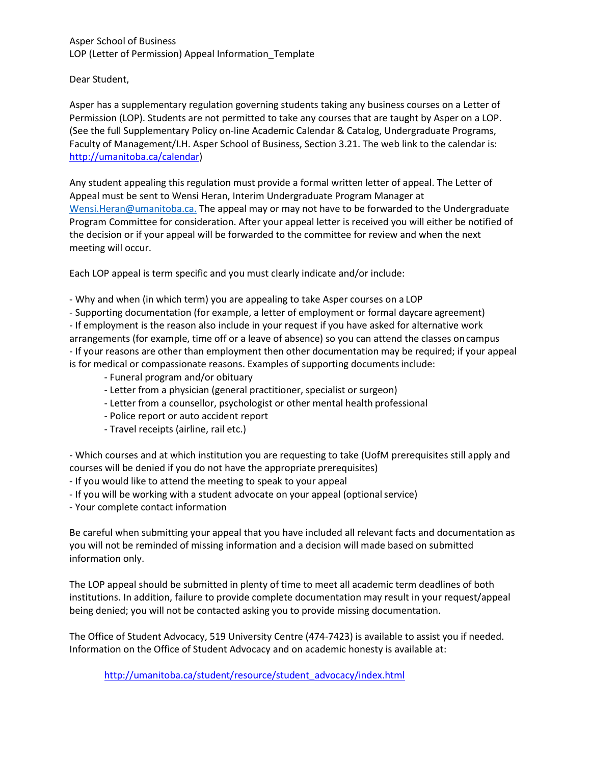## Asper School of Business LOP (Letter of Permission) Appeal Information\_Template

Dear Student,

Asper has a supplementary regulation governing students taking any business courses on a Letter of Permission (LOP). Students are not permitted to take any courses that are taught by Asper on a LOP. (See the full Supplementary Policy on-line Academic Calendar & Catalog, Undergraduate Programs, Faculty of Management/I.H. Asper School of Business, Section 3.21. The web link to the calendar is: [http://umanitoba.ca/calendar\)](http://umanitoba.ca/calendar)

Any student appealing this regulation must provide a formal written letter of appeal. The Letter of Appeal must be sent to Wensi Heran, Interim Undergraduate Program Manager at [Wensi.Heran@umanitoba.ca.](mailto:Wensi.Heran@umanitoba.ca.) The appeal may or may not have to be forwarded to the Undergraduate Program Committee for consideration. After your appeal letter is received you will either be notified of the decision or if your appeal will be forwarded to the committee for review and when the next meeting will occur.

Each LOP appeal is term specific and you must clearly indicate and/or include:

- Why and when (in which term) you are appealing to take Asper courses on a LOP
- Supporting documentation (for example, a letter of employment or formal daycare agreement)

- If employment is the reason also include in your request if you have asked for alternative work arrangements (for example, time off or a leave of absence) so you can attend the classes oncampus - If your reasons are other than employment then other documentation may be required; if your appeal is for medical or compassionate reasons. Examples of supporting documents include:

- Funeral program and/or obituary
- Letter from a physician (general practitioner, specialist or surgeon)
- Letter from a counsellor, psychologist or other mental health professional
- Police report or auto accident report
- Travel receipts (airline, rail etc.)

- Which courses and at which institution you are requesting to take (UofM prerequisites still apply and courses will be denied if you do not have the appropriate prerequisites)

- If you would like to attend the meeting to speak to your appeal
- If you will be working with a student advocate on your appeal (optionalservice)
- Your complete contact information

Be careful when submitting your appeal that you have included all relevant facts and documentation as you will not be reminded of missing information and a decision will made based on submitted information only.

The LOP appeal should be submitted in plenty of time to meet all academic term deadlines of both institutions. In addition, failure to provide complete documentation may result in your request/appeal being denied; you will not be contacted asking you to provide missing documentation.

The Office of Student Advocacy, 519 University Centre (474-7423) is available to assist you if needed. Information on the Office of Student Advocacy and on academic honesty is available at:

[http://umanitoba.ca/student/resource/student\\_advocacy/index.html](http://umanitoba.ca/student/resource/student_advocacy/index.html%0d%0d)